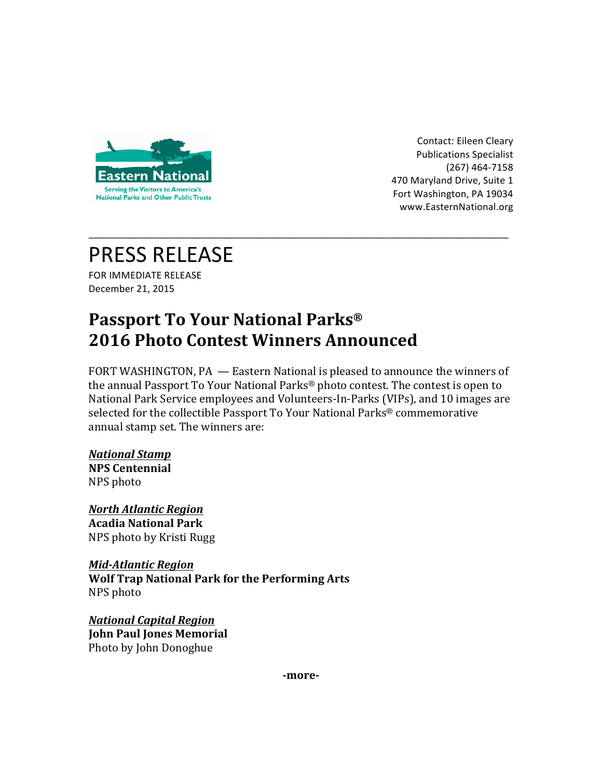

Contact: Eileen Cleary Publications Specialist (267) 464-7158 470 Maryland Drive, Suite 1 Fort Washington, PA 19034 www.EasternNational.org 

# PRESS RELEASE

FOR IMMEDIATE RELEASE December 21, 2015

## **Passport To Your National Parks<sup>®</sup> 2016 Photo Contest Winners Announced**

FORT WASHINGTON, PA — Eastern National is pleased to announce the winners of the annual Passport To Your National Parks<sup>®</sup> photo contest. The contest is open to National Park Service employees and Volunteers-In-Parks (VIPs), and 10 images are selected for the collectible Passport To Your National Parks<sup>®</sup> commemorative annual stamp set. The winners are:

\_\_\_\_\_\_\_\_\_\_\_\_\_\_\_\_\_\_\_\_\_\_\_\_\_\_\_\_\_\_\_\_\_\_\_\_\_\_\_\_\_\_\_\_\_\_\_\_\_\_\_\_\_\_\_\_\_\_\_\_\_\_\_\_\_\_\_\_\_\_\_\_\_\_\_\_\_\_

## *National Stamp*

**NPS Centennial** NPS photo

*North Atlantic Region* **Acadia National Park** NPS photo by Kristi Rugg

*Mid-Atlantic Region* **Wolf Trap National Park for the Performing Arts** NPS photo

*National Capital Region* **John Paul Jones Memorial** Photo by John Donoghue